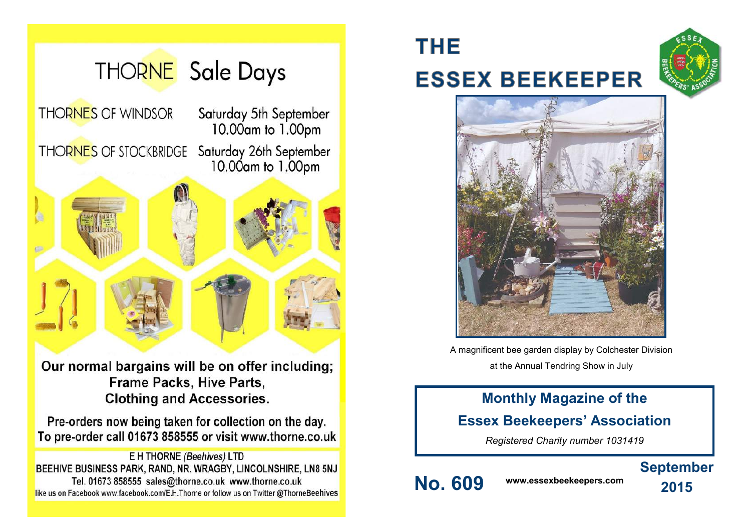

Frame Packs, Hive Parts, **Clothing and Accessories.** 

Pre-orders now being taken for collection on the day. To pre-order call 01673 858555 or visit www.thorne.co.uk

**E H THORNE (Beehives) LTD** BEEHIVE BUSINESS PARK, RAND, NR. WRAGBY, LINCOLNSHIRE, LN8 5NJ Tel. 01673 858555 sales@thorne.co.uk www.thorne.co.uk like us on Facebook www.facebook.com/E.H.Thorne or follow us on Twitter @ThorneBeehives

# **THE ESSEX BEEKEEPER**





A magnificent bee garden display by Colchester Division at the Annual Tendring Show in July

## **Monthly Magazine of the**

### **Essex Beekeepers' Association**

*Registered Charity number 1031419*

## **September**

**No. 609 www.essexbeekeepers.com**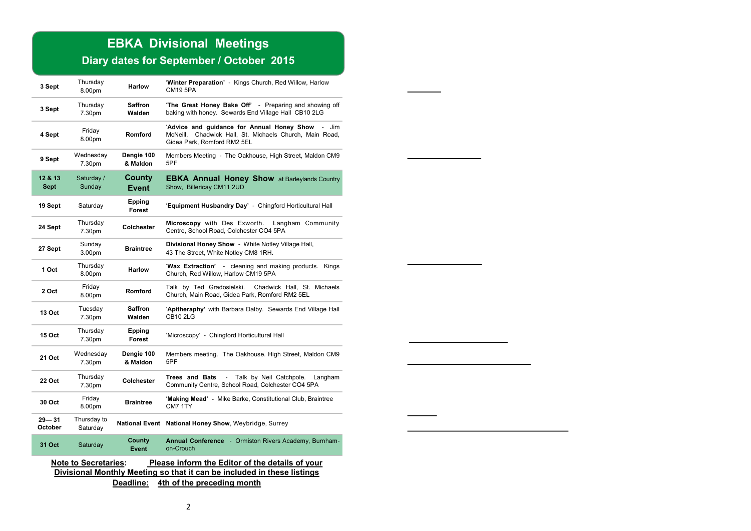## **EBKA Divisional Meetings**

### **Diary dates for September / October 2015**

| 3 Sept                                                                                                                                                                                               | Thursday<br>8.00pm           | <b>Harlow</b>            | 'Winter Preparation' - Kings Church, Red Willow, Harlow<br><b>CM19 5PA</b>                                                                    |  |  |  |
|------------------------------------------------------------------------------------------------------------------------------------------------------------------------------------------------------|------------------------------|--------------------------|-----------------------------------------------------------------------------------------------------------------------------------------------|--|--|--|
| 3 Sept                                                                                                                                                                                               | Thursday<br>7.30pm           | <b>Saffron</b><br>Walden | <b>The Great Honey Bake Off'</b> - Preparing and showing off<br>baking with honey. Sewards End Village Hall CB10 2LG                          |  |  |  |
| 4 Sept                                                                                                                                                                                               | Friday<br>8.00pm             | Romford                  | 'Advice and guidance for Annual Honey Show - Jim<br>Chadwick Hall, St. Michaels Church, Main Road,<br>McNeill.<br>Gidea Park, Romford RM2 5EL |  |  |  |
| 9 Sept                                                                                                                                                                                               | Wednesday<br>7.30pm          | Dengie 100<br>& Maldon   | Members Meeting - The Oakhouse, High Street, Maldon CM9<br>5PF                                                                                |  |  |  |
| 12 & 13<br><b>Sept</b>                                                                                                                                                                               | Saturday /<br>Sunday         | County<br>Event          | <b>EBKA Annual Honey Show</b> at Barleylands Country<br>Show, Billericay CM11 2UD                                                             |  |  |  |
| 19 Sept                                                                                                                                                                                              | Saturday                     | Epping<br><b>Forest</b>  | 'Equipment Husbandry Day' - Chingford Horticultural Hall                                                                                      |  |  |  |
| 24 Sept                                                                                                                                                                                              | Thursday<br>7.30pm           | Colchester               | Microscopy with Des Exworth.<br>Langham Community<br>Centre, School Road, Colchester CO4 5PA                                                  |  |  |  |
| 27 Sept                                                                                                                                                                                              | Sunday<br>3.00 <sub>pm</sub> | <b>Braintree</b>         | Divisional Honey Show - White Notley Village Hall,<br>43 The Street, White Notley CM8 1RH.                                                    |  |  |  |
| 1 Oct                                                                                                                                                                                                | Thursday<br>8.00pm           | <b>Harlow</b>            | 'Wax Extraction' - cleaning and making products. Kings<br>Church, Red Willow, Harlow CM19 5PA                                                 |  |  |  |
| 2 Oct                                                                                                                                                                                                | Friday<br>8.00pm             | Romford                  | Talk by Ted Gradosielski.<br>Chadwick Hall, St. Michaels<br>Church, Main Road, Gidea Park, Romford RM2 5EL                                    |  |  |  |
| 13 Oct                                                                                                                                                                                               | Tuesday<br>7.30pm            | <b>Saffron</b><br>Walden | 'Apitheraphy' with Barbara Dalby. Sewards End Village Hall<br><b>CB10 2LG</b>                                                                 |  |  |  |
| <b>15 Oct</b>                                                                                                                                                                                        | Thursday<br>7.30pm           | Epping<br>Forest         | 'Microscopy' - Chingford Horticultural Hall                                                                                                   |  |  |  |
| 21 Oct                                                                                                                                                                                               | Wednesday<br>7.30pm          | Dengie 100<br>& Maldon   | Members meeting. The Oakhouse. High Street, Maldon CM9<br>5PF                                                                                 |  |  |  |
| 22 Oct                                                                                                                                                                                               | Thursday<br>7.30pm           | Colchester               | Trees and Bats<br>Talk by Neil Catchpole.<br>$\blacksquare$<br>Langham<br>Community Centre, School Road, Colchester CO4 5PA                   |  |  |  |
| 30 Oct                                                                                                                                                                                               | Friday<br>8.00pm             | <b>Braintree</b>         | 'Making Mead' - Mike Barke, Constitutional Club, Braintree<br>CM7 1TY                                                                         |  |  |  |
| $29 - 31$<br>October                                                                                                                                                                                 | Thursday to<br>Saturday      |                          | National Event National Honey Show, Weybridge, Surrey                                                                                         |  |  |  |
| 31 Oct                                                                                                                                                                                               | Saturday                     | County<br><b>Event</b>   | Annual Conference - Ormiston Rivers Academy, Burnham-<br>on-Crouch                                                                            |  |  |  |
| <b>Note to Secretaries:</b><br>Please inform the Editor of the details of your<br>Divisional Monthly Meeting so that it can be included in these listings<br>Deadline:<br>4th of the preceding month |                              |                          |                                                                                                                                               |  |  |  |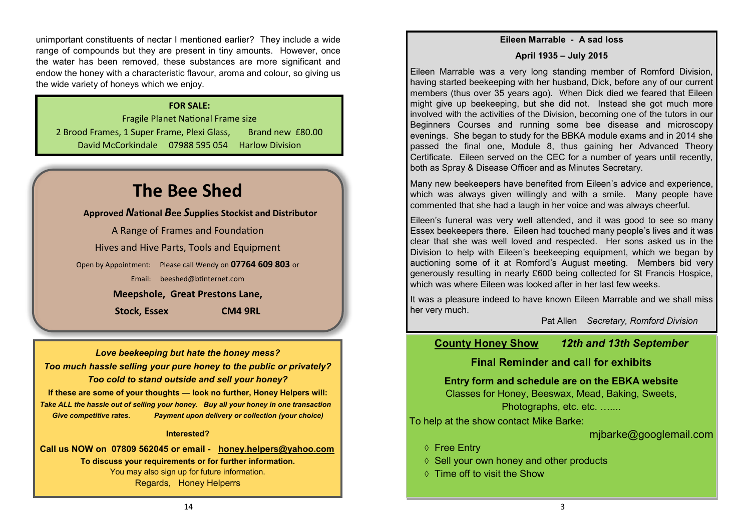unimportant constituents of nectar I mentioned earlier? They include a wide range of compounds but they are present in tiny amounts. However, once the water has been removed, these substances are more significant and endow the honey with a characteristic flavour, aroma and colour, so giving us the wide variety of honeys which we enjoy.

### **FOR SALE:**

Fragile Planet National Frame size 2 Brood Frames, 1 Super Frame, Plexi Glass, Brand new £80.00 David McCorkindale 07988 595 054 Harlow Division

## **The Bee Shed**

**Approved** *N***ational** *B***ee** *S***upplies Stockist and Distributor**

A Range of Frames and Foundation Hives and Hive Parts, Tools and Equipment Open by Appointment: Please call Wendy on **07764 609 803** or Email: [beeshed@btinternet.com](mailto:beeshed@btinternet.com)  **Meepshole, Great Prestons Lane, Stock, Essex CM4 9RL**

*Love beekeeping but hate the honey mess? Too much hassle selling your pure honey to the public or privately? Too cold to stand outside and sell your honey?* **If these are some of your thoughts — look no further, Honey Helpers will:** *Take ALL the hassle out of selling your honey. Buy all your honey in one transaction Give competitive rates. Payment upon delivery or collection (your choice)*

#### **Interested?**

**Call us NOW on 07809 562045 or email - [honey.helpers@yahoo.com](mailto:honey.helpers@yahoo.com) To discuss your requirements or for further information.** You may also sign up for future information. Regards, Honey Helperrs

#### **Eileen Marrable - A sad loss**

#### **April 1935 – July 2015**

Eileen Marrable was a very long standing member of Romford Division, having started beekeeping with her husband, Dick, before any of our current members (thus over 35 years ago). When Dick died we feared that Eileen might give up beekeeping, but she did not. Instead she got much more involved with the activities of the Division, becoming one of the tutors in our Beginners Courses and running some bee disease and microscopy evenings. She began to study for the BBKA module exams and in 2014 she passed the final one, Module 8, thus gaining her Advanced Theory Certificate. Eileen served on the CEC for a number of years until recently, both as Spray & Disease Officer and as Minutes Secretary.

Many new beekeepers have benefited from Eileen's advice and experience, which was always given willingly and with a smile. Many people have commented that she had a laugh in her voice and was always cheerful.

Eileen's funeral was very well attended, and it was good to see so many Essex beekeepers there. Eileen had touched many people's lives and it was clear that she was well loved and respected. Her sons asked us in the Division to help with Eileen's beekeeping equipment, which we began by auctioning some of it at Romford's August meeting. Members bid very generously resulting in nearly £600 being collected for St Francis Hospice, which was where Eileen was looked after in her last few weeks.

It was a pleasure indeed to have known Eileen Marrable and we shall miss her very much.

Pat Allen *Secretary, Romford Division*

### **County Honey Show** *12th and 13th September*

### **Final Reminder and call for exhibits**

**Entry form and schedule are on the EBKA website**

Classes for Honey, Beeswax, Mead, Baking, Sweets, Photographs, etc. etc. …….

To help at the show contact Mike Barke:

mjbarke@googlemail.com

- **↑ Free Entry**
- $\Diamond$  Sell your own honey and other products
- $\Diamond$  Time off to visit the Show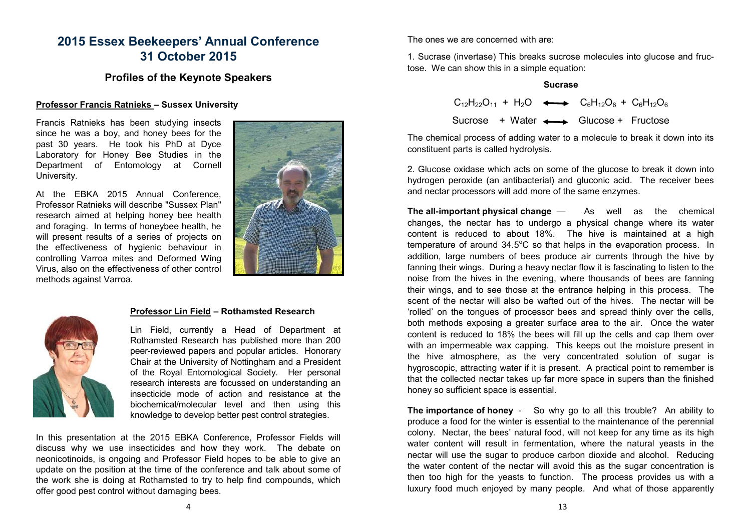### **2015 Essex Beekeepers' Annual Conference 31 October 2015**

### **Profiles of the Keynote Speakers**

### **Professor Francis Ratnieks – Sussex University**

Francis Ratnieks has been studying insects since he was a boy, and honey bees for the past 30 years. He took his PhD at Dyce Laboratory for Honey Bee Studies in the Department of Entomology at Cornell University.

At the EBKA 2015 Annual Conference, Professor Ratnieks will describe "Sussex Plan" research aimed at helping honey bee health and foraging. In terms of honeybee health, he will present results of a series of projects on the effectiveness of hygienic behaviour in controlling Varroa mites and Deformed Wing Virus, also on the effectiveness of other control methods against Varroa.





### **Professor Lin Field – Rothamsted Research**

Lin Field, currently a Head of Department at Rothamsted Research has published more than 200 peer-reviewed papers and popular articles. Honorary Chair at the University of Nottingham and a President of the Royal Entomological Society. Her personal research interests are focussed on understanding an insecticide mode of action and resistance at the biochemical/molecular level and then using this knowledge to develop better pest control strategies.

In this presentation at the 2015 EBKA Conference, Professor Fields will discuss why we use insecticides and how they work. The debate on neonicotinoids, is ongoing and Professor Field hopes to be able to give an update on the position at the time of the conference and talk about some of the work she is doing at Rothamsted to try to help find compounds, which offer good pest control without damaging bees.

The ones we are concerned with are:

1. Sucrase (invertase) This breaks sucrose molecules into glucose and fructose. We can show this in a simple equation:

#### **Sucrase**

|  |  | $C_{12}H_{22}O_{11} + H_2O \leftrightarrow C_6H_{12}O_6 + C_6H_{12}O_6$ |  |
|--|--|-------------------------------------------------------------------------|--|
|  |  | Sucrose + Water $\longleftrightarrow$ Glucose + Fructose                |  |

The chemical process of adding water to a molecule to break it down into its constituent parts is called hydrolysis.

2. Glucose oxidase which acts on some of the glucose to break it down into hydrogen peroxide (an antibacterial) and gluconic acid. The receiver bees and nectar processors will add more of the same enzymes.

**The all-important physical change** — As well as the chemical changes, the nectar has to undergo a physical change where its water content is reduced to about 18%. The hive is maintained at a high temperature of around  $34.5^{\circ}$ C so that helps in the evaporation process. In addition, large numbers of bees produce air currents through the hive by fanning their wings. During a heavy nectar flow it is fascinating to listen to the noise from the hives in the evening, where thousands of bees are fanning their wings, and to see those at the entrance helping in this process. The scent of the nectar will also be wafted out of the hives. The nectar will be 'rolled' on the tongues of processor bees and spread thinly over the cells, both methods exposing a greater surface area to the air. Once the water content is reduced to 18% the bees will fill up the cells and cap them over with an impermeable wax capping. This keeps out the moisture present in the hive atmosphere, as the very concentrated solution of sugar is hygroscopic, attracting water if it is present. A practical point to remember is that the collected nectar takes up far more space in supers than the finished honey so sufficient space is essential.

**The importance of honey -** So why go to all this trouble? An ability to produce a food for the winter is essential to the maintenance of the perennial colony. Nectar, the bees' natural food, will not keep for any time as its high water content will result in fermentation, where the natural yeasts in the nectar will use the sugar to produce carbon dioxide and alcohol. Reducing the water content of the nectar will avoid this as the sugar concentration is then too high for the yeasts to function. The process provides us with a luxury food much enjoyed by many people. And what of those apparently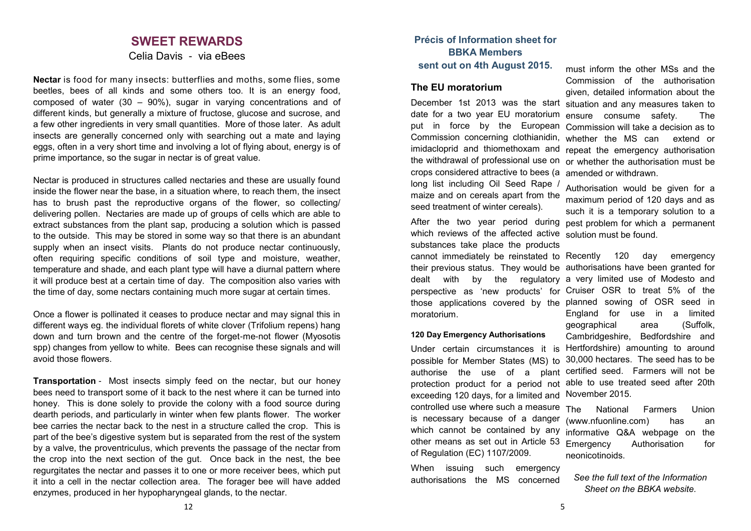### **SWEET REWARDS**

Celia Davis - via eBees

**Nectar** is food for many insects: butterflies and moths, some flies, some beetles, bees of all kinds and some others too. It is an energy food, composed of water (30 – 90%), sugar in varying concentrations and of different kinds, but generally a mixture of fructose, glucose and sucrose, and a few other ingredients in very small quantities. More of those later. As adult insects are generally concerned only with searching out a mate and laying eggs, often in a very short time and involving a lot of flying about, energy is of prime importance, so the sugar in nectar is of great value.

Nectar is produced in structures called nectaries and these are usually found inside the flower near the base, in a situation where, to reach them, the insect has to brush past the reproductive organs of the flower, so collecting/ delivering pollen. Nectaries are made up of groups of cells which are able to extract substances from the plant sap, producing a solution which is passed to the outside. This may be stored in some way so that there is an abundant supply when an insect visits. Plants do not produce nectar continuously, often requiring specific conditions of soil type and moisture, weather, temperature and shade, and each plant type will have a diurnal pattern where it will produce best at a certain time of day. The composition also varies with the time of day, some nectars containing much more sugar at certain times.

Once a flower is pollinated it ceases to produce nectar and may signal this in different ways eg. the individual florets of white clover (Trifolium repens) hang down and turn brown and the centre of the forget-me-not flower (Myosotis spp) changes from yellow to white. Bees can recognise these signals and will avoid those flowers.

**Transportation** - Most insects simply feed on the nectar, but our honey bees need to transport some of it back to the nest where it can be turned into honey. This is done solely to provide the colony with a food source during dearth periods, and particularly in winter when few plants flower. The worker bee carries the nectar back to the nest in a structure called the crop. This is part of the bee's digestive system but is separated from the rest of the system by a valve, the proventriculus, which prevents the passage of the nectar from the crop into the next section of the gut. Once back in the nest, the bee regurgitates the nectar and passes it to one or more receiver bees, which put it into a cell in the nectar collection area. The forager bee will have added enzymes, produced in her hypopharyngeal glands, to the nectar.

### **Précis of Information sheet for BBKA Members sent out on 4th August 2015.**

### **The EU moratorium**

December 1st 2013 was the start situation and any measures taken to date for a two year EU moratorium ensure consume safety. The put in force by the European Commission will take a decision as to Commission concerning clothianidin, whether the MS can extend or imidacloprid and thiomethoxam and the withdrawal of professional use on crops considered attractive to bees (a amended or withdrawn. long list including Oil Seed Rape / maize and on cereals apart from the seed treatment of winter cereals).

which reviews of the affected active solution must be found. substances take place the products

cannot immediately be reinstated to Recently 120 day emergency their previous status. They would be authorisations have been granted for dealt with by the regulatory a very limited use of Modesto and perspective as 'new products' for Cruiser OSR to treat 5% of the those applications covered by the planned sowing of OSR seed in moratorium.

#### **120 Day Emergency Authorisations**

Under certain circumstances it is possible for Member States (MS) to exceeding 120 days, for a limited and November 2015.

controlled use where such a measure is necessary because of a danger which cannot be contained by any other means as set out in Article 53 of Regulation (EC) 1107/2009.

When issuing such emergency authorisations the MS concerned

must inform the other MSs and the Commission of the authorisation given, detailed information about the repeat the emergency authorisation or whether the authorisation must be

After the two year period during pest problem for which a permanent Authorisation would be given for a maximum period of 120 days and as such it is a temporary solution to a

authorise the use of a plant certified seed. Farmers will not be protection product for a period not able to use treated seed after 20th England for use in a limited geographical area (Suffolk, Cambridgeshire, Bedfordshire and Hertfordshire) amounting to around 30,000 hectares. The seed has to be

> The National Farmers Union (www.nfuonline.com) has an informative Q&A webpage on the Emergency Authorisation for neonicotinoids.

*See the full text of the Information Sheet on the BBKA website.*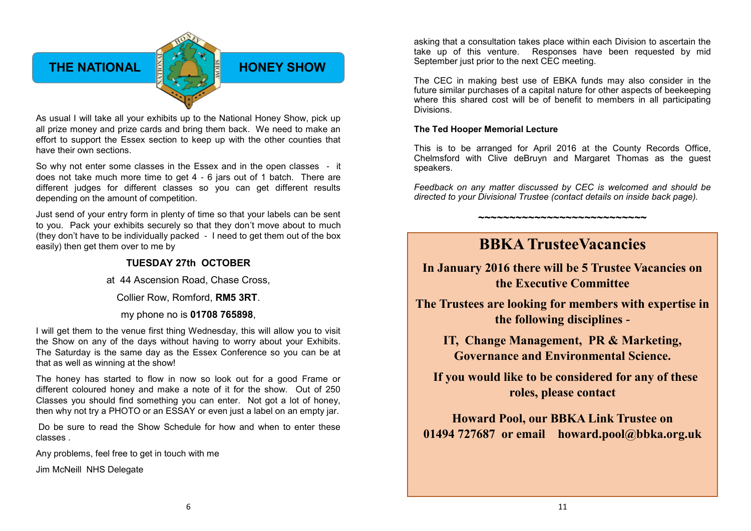### **THE NATIONAL EXAMPLE HONEY SHOW**

As usual I will take all your exhibits up to the National Honey Show, pick up all prize money and prize cards and bring them back. We need to make an effort to support the Essex section to keep up with the other counties that have their own sections.

So why not enter some classes in the Essex and in the open classes - it does not take much more time to get 4 - 6 jars out of 1 batch. There are different judges for different classes so you can get different results depending on the amount of competition.

Just send of your entry form in plenty of time so that your labels can be sent to you. Pack your exhibits securely so that they don't move about to much (they don't have to be individually packed - I need to get them out of the box easily) then get them over to me by

### **TUESDAY 27th OCTOBER**

at 44 Ascension Road, Chase Cross,

Collier Row, Romford, **RM5 3RT**.

my phone no is **01708 765898**,

I will get them to the venue first thing Wednesday, this will allow you to visit the Show on any of the days without having to worry about your Exhibits. The Saturday is the same day as the Essex Conference so you can be at that as well as winning at the show!

The honey has started to flow in now so look out for a good Frame or different coloured honey and make a note of it for the show. Out of 250 Classes you should find something you can enter. Not got a lot of honey, then why not try a PHOTO or an ESSAY or even just a label on an empty jar.

Do be sure to read the Show Schedule for how and when to enter these classes .

Any problems, feel free to get in touch with me

Jim McNeill NHS Delegate

asking that a consultation takes place within each Division to ascertain the take up of this venture. Responses have been requested by mid September just prior to the next CEC meeting.

The CEC in making best use of EBKA funds may also consider in the future similar purchases of a capital nature for other aspects of beekeeping where this shared cost will be of benefit to members in all participating Divisions.

#### **The Ted Hooper Memorial Lecture**

This is to be arranged for April 2016 at the County Records Office, Chelmsford with Clive deBruyn and Margaret Thomas as the guest speakers.

*Feedback on any matter discussed by CEC is welcomed and should be directed to your Divisional Trustee (contact details on inside back page).*

**~~~~~~~~~~~~~~~~~~~~~~~~~~~**

### **BBKA TrusteeVacancies**

**In January 2016 there will be 5 Trustee Vacancies on the Executive Committee** 

**The Trustees are looking for members with expertise in the following disciplines -** 

**IT, Change Management, PR & Marketing, Governance and Environmental Science.**

 **If you would like to be considered for any of these roles, please contact** 

**Howard Pool, our BBKA Link Trustee on 01494 727687 or email [howard.pool@bbka.org.uk](mailto:howard.pool@bbka.org.uk)**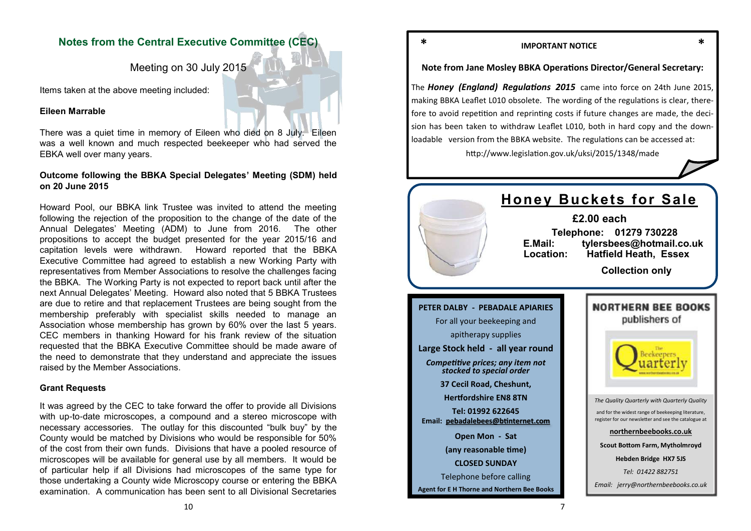### **Notes from the Central Executive Committee (CEC)**

Meeting on 30 July 2015

Items taken at the above meeting included:

#### **Eileen Marrable**

There was a quiet time in memory of Eileen who died on 8 July. Eileen was a well known and much respected beekeeper who had served the EBKA well over many years.

### **Outcome following the BBKA Special Delegates' Meeting (SDM) held on 20 June 2015**

Howard Pool, our BBKA link Trustee was invited to attend the meeting following the rejection of the proposition to the change of the date of the Annual Delegates' Meeting (ADM) to June from 2016. The other propositions to accept the budget presented for the year 2015/16 and capitation levels were withdrawn*.* Howard reported that the BBKA Executive Committee had agreed to establish a new Working Party with representatives from Member Associations to resolve the challenges facing the BBKA. The Working Party is not expected to report back until after the next Annual Delegates' Meeting. Howard also noted that 5 BBKA Trustees are due to retire and that replacement Trustees are being sought from the membership preferably with specialist skills needed to manage an Association whose membership has grown by 60% over the last 5 years. CEC members in thanking Howard for his frank review of the situation requested that the BBKA Executive Committee should be made aware of the need to demonstrate that they understand and appreciate the issues raised by the Member Associations.

### **Grant Requests**

It was agreed by the CEC to take forward the offer to provide all Divisions with up-to-date microscopes, a compound and a stereo microscope with necessary accessories. The outlay for this discounted "bulk buy" by the County would be matched by Divisions who would be responsible for 50% of the cost from their own funds. Divisions that have a pooled resource of microscopes will be available for general use by all members. It would be of particular help if all Divisions had microscopes of the same type for those undertaking a County wide Microscopy course or entering the BBKA examination. A communication has been sent to all Divisional Secretaries

10

### **\* IMPORTANT NOTICE \***

### **Note from Jane Mosley BBKA Operations Director/General Secretary:**

The *Honey (England) Regulations 2015* came into force on 24th June 2015, making BBKA Leaflet L010 obsolete. The wording of the regulations is clear, therefore to avoid repetition and reprinting costs if future changes are made, the decision has been taken to withdraw Leaflet L010, both in hard copy and the downloadable version from the BBKA website. The regulations can be accessed at:

http://www.legislation.gov.uk/uksi/2015/1348/made

### **Honey Buckets for Sale**

**£2.00 each Telephone: 01279 730228 E.Mail: tylersbees@hotmail.co.uk Location: Hatfield Heath, Essex**

 **Collection only**

### **PETER DALBY - PEBADALE APIARIES** For all your beekeeping and apitherapy supplies **Large Stock held - all year round** *Competitive prices; any item not stocked to special order* **37 Cecil Road, Cheshunt, Hertfordshire EN8 8TN Tel: 01992 622645 Email: [pebadalebees@btinternet.com](mailto:pebadalebees@btinternet.com) Open Mon - Sat (any reasonable time) CLOSED SUNDAY** Telephone before calling **Agent for E H Thorne and Northern Bee Books**



NORTHERN REE ROOKS

**Hebden Bridge HX7 5JS**

*Tel: 01422 882751*

*Email: jerry@northernbeebooks.co.uk*